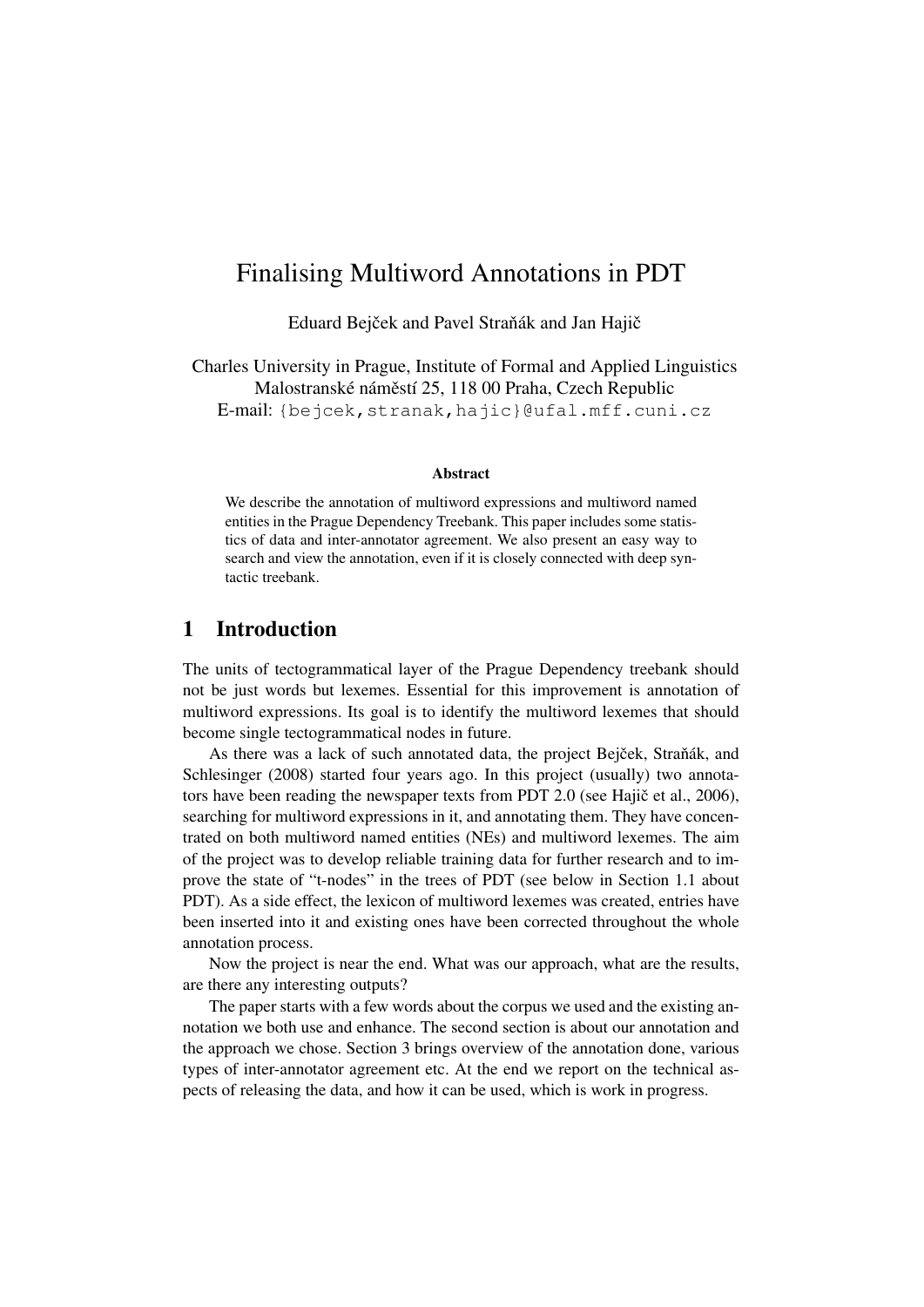# <span id="page-0-0"></span>Finalising Multiword Annotations in PDT

Eduard Bejček and Pavel Straňák and Jan Hajič

Charles University in Prague, Institute of Formal and Applied Linguistics Malostranské náměstí 25, 118 00 Praha, Czech Republic E-mail: {bejcek,stranak,hajic}@ufal.mff.cuni.cz

#### Abstract

We describe the annotation of multiword expressions and multiword named entities in the Prague Dependency Treebank. This paper includes some statistics of data and inter-annotator agreement. We also present an easy way to search and view the annotation, even if it is closely connected with deep syntactic treebank.

# <span id="page-0-1"></span>1 Introduction

The units of tectogrammatical layer of the Prague Dependency treebank should not be just words but lexemes. Essential for this improvement is annotation of multiword expressions. Its goal is to identify the multiword lexemes that should become single tectogrammatical nodes in future.

As there was a lack of such annotated data, the project Bejček, Straňák, and [Schlesinger](#page-7-0) [\(2008\)](#page-7-0) started four years ago. In this project (usually) two annota-tors have been reading the newspaper texts from PDT 2.0 (see [Hajic et al.](#page-7-1), [2006\)](#page-7-1), searching for multiword expressions in it, and annotating them. They have concentrated on both multiword named entities (NEs) and multiword lexemes. The aim of the project was to develop reliable training data for further research and to improve the state of "t-nodes" in the trees of PDT (see below in Section [1.1](#page-1-0) about PDT). As a side effect, the lexicon of multiword lexemes was created, entries have been inserted into it and existing ones have been corrected throughout the whole annotation process.

Now the project is near the end. What was our approach, what are the results, are there any interesting outputs?

The paper starts with a few words about the corpus we used and the existing annotation we both use and enhance. The second section is about our annotation and the approach we chose. Section [3](#page-3-0) brings overview of the annotation done, various types of inter-annotator agreement etc. At the end we report on the technical aspects of releasing the data, and how it can be used, which is work in progress.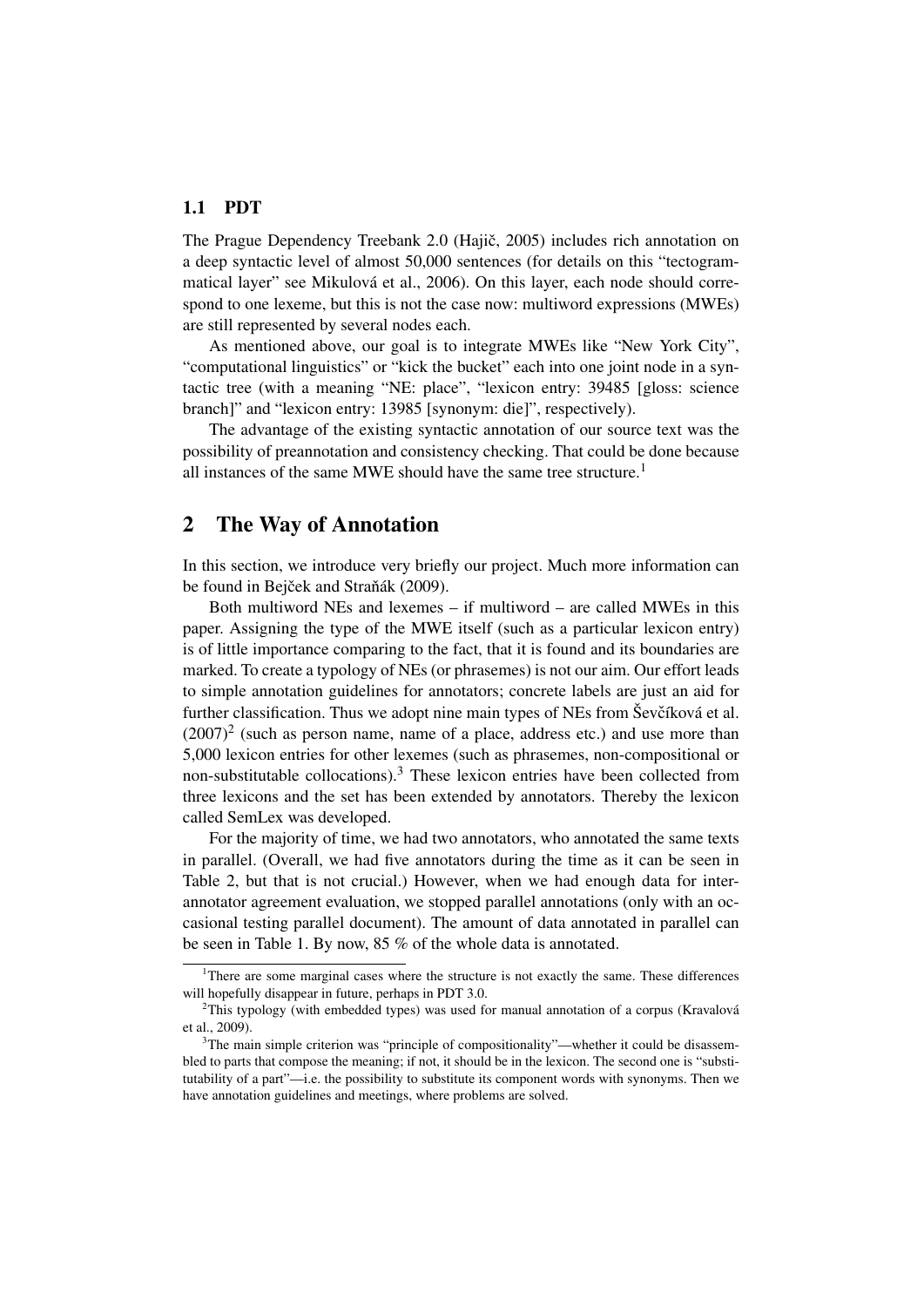## <span id="page-1-0"></span>1.1 PDT

The Prague Dependency Treebank 2.0 (Hajič, [2005\)](#page-7-2) includes rich annotation on a deep syntactic level of almost 50,000 sentences (for details on this "tectogrammatical layer" see [Mikulová et al.,](#page-8-0) [2006\)](#page-8-0). On this layer, each node should correspond to one lexeme, but this is not the case now: multiword expressions (MWEs) are still represented by several nodes each.

As mentioned above, our goal is to integrate MWEs like "New York City", "computational linguistics" or "kick the bucket" each into one joint node in a syntactic tree (with a meaning "NE: place", "lexicon entry: 39485 [gloss: science branch]" and "lexicon entry: 13985 [synonym: die]", respectively).

The advantage of the existing syntactic annotation of our source text was the possibility of preannotation and consistency checking. That could be done because all instances of the same MWE should have the same tree structure.<sup>[1](#page-0-0)</sup>

# <span id="page-1-1"></span>2 The Way of Annotation

In this section, we introduce very briefly our project. Much more information can be found in Bejček and Straňák [\(2009\)](#page-7-3).

Both multiword NEs and lexemes – if multiword – are called MWEs in this paper. Assigning the type of the MWE itself (such as a particular lexicon entry) is of little importance comparing to the fact, that it is found and its boundaries are marked. To create a typology of NEs (or phrasemes) is not our aim. Our effort leads to simple annotation guidelines for annotators; concrete labels are just an aid for further classification. Thus we adopt nine main types of NEs from Ševčíková et al.  $(2007)^2$  $(2007)^2$  $(2007)^2$  (such as person name, name of a place, address etc.) and use more than 5,000 lexicon entries for other lexemes (such as phrasemes, non-compositional or non-substitutable collocations).[3](#page-0-0) These lexicon entries have been collected from three lexicons and the set has been extended by annotators. Thereby the lexicon called SemLex was developed.

For the majority of time, we had two annotators, who annotated the same texts in parallel. (Overall, we had five annotators during the time as it can be seen in Table [2,](#page-3-1) but that is not crucial.) However, when we had enough data for interannotator agreement evaluation, we stopped parallel annotations (only with an occasional testing parallel document). The amount of data annotated in parallel can be seen in Table [1.](#page-2-0) By now, 85 % of the whole data is annotated.

<sup>&</sup>lt;sup>1</sup>There are some marginal cases where the structure is not exactly the same. These differences will hopefully disappear in future, perhaps in PDT 3.0.

 $2$ This typology (with embedded types) was used for manual annotation of a corpus [\(Kravalová](#page-8-2) [et al.,](#page-8-2) [2009\)](#page-8-2).

<sup>&</sup>lt;sup>3</sup>The main simple criterion was "principle of compositionality"—whether it could be disassembled to parts that compose the meaning; if not, it should be in the lexicon. The second one is "substitutability of a part"—i.e. the possibility to substitute its component words with synonyms. Then we have annotation guidelines and meetings, where problems are solved.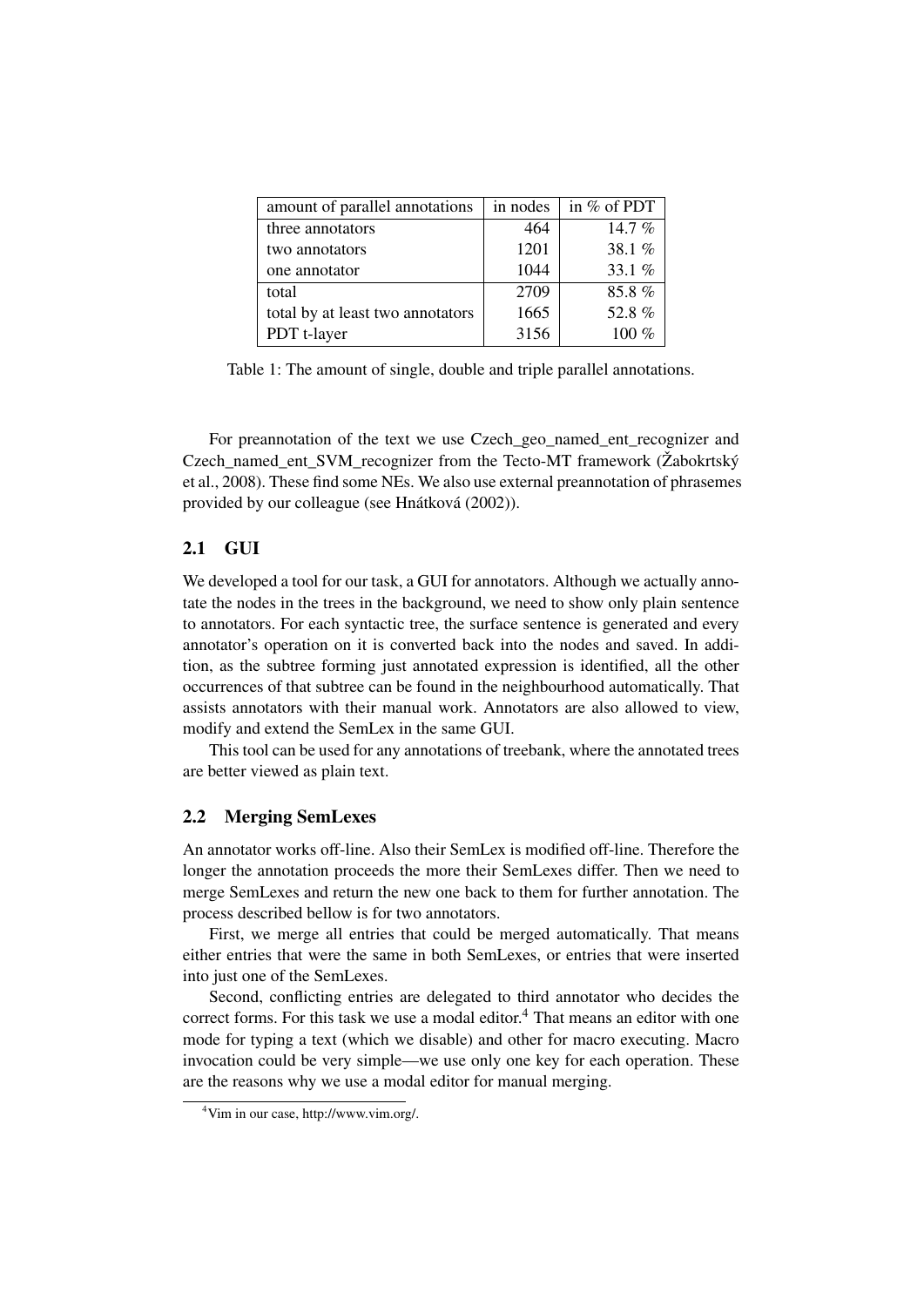| amount of parallel annotations   | in nodes | in % of PDT |
|----------------------------------|----------|-------------|
| three annotators                 | 464      | 14.7 %      |
| two annotators                   | 1201     | 38.1%       |
| one annotator                    | 1044     | 33.1 %      |
| total                            | 2709     | 85.8%       |
| total by at least two annotators | 1665     | 52.8%       |
| PDT t-layer                      | 3156     | $100\%$     |

<span id="page-2-0"></span>Table 1: The amount of single, double and triple parallel annotations.

For preannotation of the text we use Czech\_geo\_named\_ent\_recognizer and Czech\_named\_ent\_SVM\_recognizer from the Tecto-MT framework [\(Žabokrtský](#page-8-3) [et al.,](#page-8-3) [2008\)](#page-8-3). These find some NEs. We also use external preannotation of phrasemes provided by our colleague (see [Hnátková](#page-8-4) [\(2002\)](#page-8-4)).

#### 2.1 GUI

We developed a tool for our task, a GUI for annotators. Although we actually annotate the nodes in the trees in the background, we need to show only plain sentence to annotators. For each syntactic tree, the surface sentence is generated and every annotator's operation on it is converted back into the nodes and saved. In addition, as the subtree forming just annotated expression is identified, all the other occurrences of that subtree can be found in the neighbourhood automatically. That assists annotators with their manual work. Annotators are also allowed to view, modify and extend the SemLex in the same GUI.

This tool can be used for any annotations of treebank, where the annotated trees are better viewed as plain text.

#### 2.2 Merging SemLexes

An annotator works off-line. Also their SemLex is modified off-line. Therefore the longer the annotation proceeds the more their SemLexes differ. Then we need to merge SemLexes and return the new one back to them for further annotation. The process described bellow is for two annotators.

First, we merge all entries that could be merged automatically. That means either entries that were the same in both SemLexes, or entries that were inserted into just one of the SemLexes.

Second, conflicting entries are delegated to third annotator who decides the correct forms. For this task we use a modal editor.<sup>[4](#page-0-0)</sup> That means an editor with one mode for typing a text (which we disable) and other for macro executing. Macro invocation could be very simple—we use only one key for each operation. These are the reasons why we use a modal editor for manual merging.

<sup>4</sup>Vim in our case, http://www.vim.org/.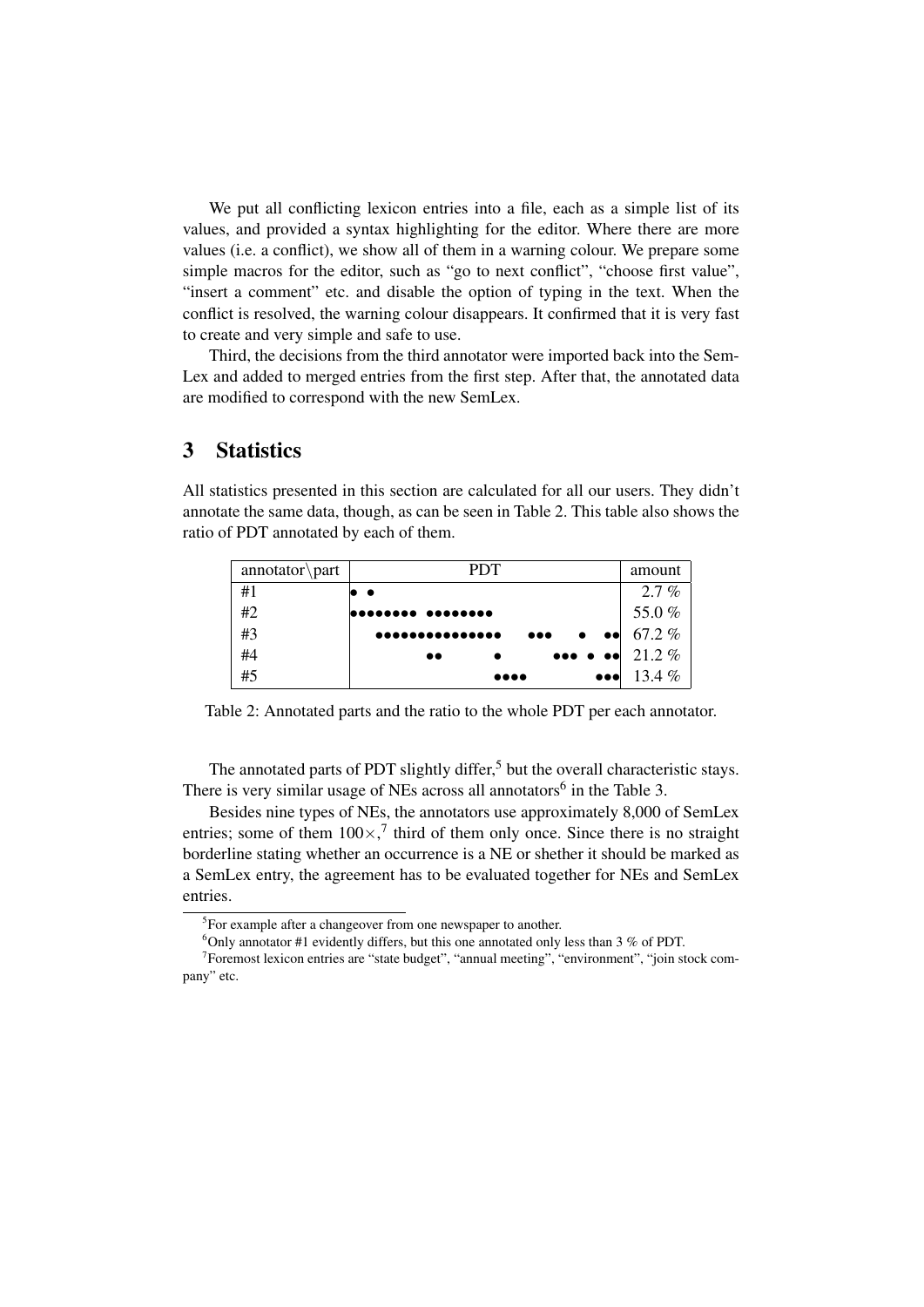We put all conflicting lexicon entries into a file, each as a simple list of its values, and provided a syntax highlighting for the editor. Where there are more values (i.e. a conflict), we show all of them in a warning colour. We prepare some simple macros for the editor, such as "go to next conflict", "choose first value", "insert a comment" etc. and disable the option of typing in the text. When the conflict is resolved, the warning colour disappears. It confirmed that it is very fast to create and very simple and safe to use.

Third, the decisions from the third annotator were imported back into the Sem-Lex and added to merged entries from the first step. After that, the annotated data are modified to correspond with the new SemLex.

# <span id="page-3-0"></span>3 Statistics

All statistics presented in this section are calculated for all our users. They didn't annotate the same data, though, as can be seen in Table [2.](#page-3-1) This table also shows the ratio of PDT annotated by each of them.

| $\text{amotator}\part$ | <b>PDT</b>                                                             | amount                  |
|------------------------|------------------------------------------------------------------------|-------------------------|
| #1                     | $\bullet$                                                              | $2.7\%$                 |
| #2                     | <b> </b>                                                               | 55.0%                   |
| #3                     | $\bullet\bullet\bullet$<br>$\bullet$<br>                               | $\bullet\bullet$ 67.2 % |
| #4                     | $\bullet \bullet \bullet \bullet \bullet   21.2\%$<br>$\bullet\bullet$ |                         |
| #5                     | $\bullet\bullet\bullet$<br>$\bullet\bullet\bullet\bullet$              | 13.4 $%$                |

<span id="page-3-1"></span>Table 2: Annotated parts and the ratio to the whole PDT per each annotator.

The annotated parts of PDT slightly differ,<sup>[5](#page-0-0)</sup> but the overall characteristic stays. There is very similar usage of NEs across all annotators<sup>[6](#page-0-0)</sup> in the Table [3.](#page-4-0)

Besides nine types of NEs, the annotators use approximately 8,000 of SemLex entries; some of them  $100 \times$ ,<sup>[7](#page-0-0)</sup> third of them only once. Since there is no straight borderline stating whether an occurrence is a NE or shether it should be marked as a SemLex entry, the agreement has to be evaluated together for NEs and SemLex entries.

<sup>&</sup>lt;sup>5</sup>For example after a changeover from one newspaper to another.

 $6$ Only annotator #1 evidently differs, but this one annotated only less than 3 % of PDT.

<sup>&</sup>lt;sup>7</sup> Foremost lexicon entries are "state budget", "annual meeting", "environment", "join stock company" etc.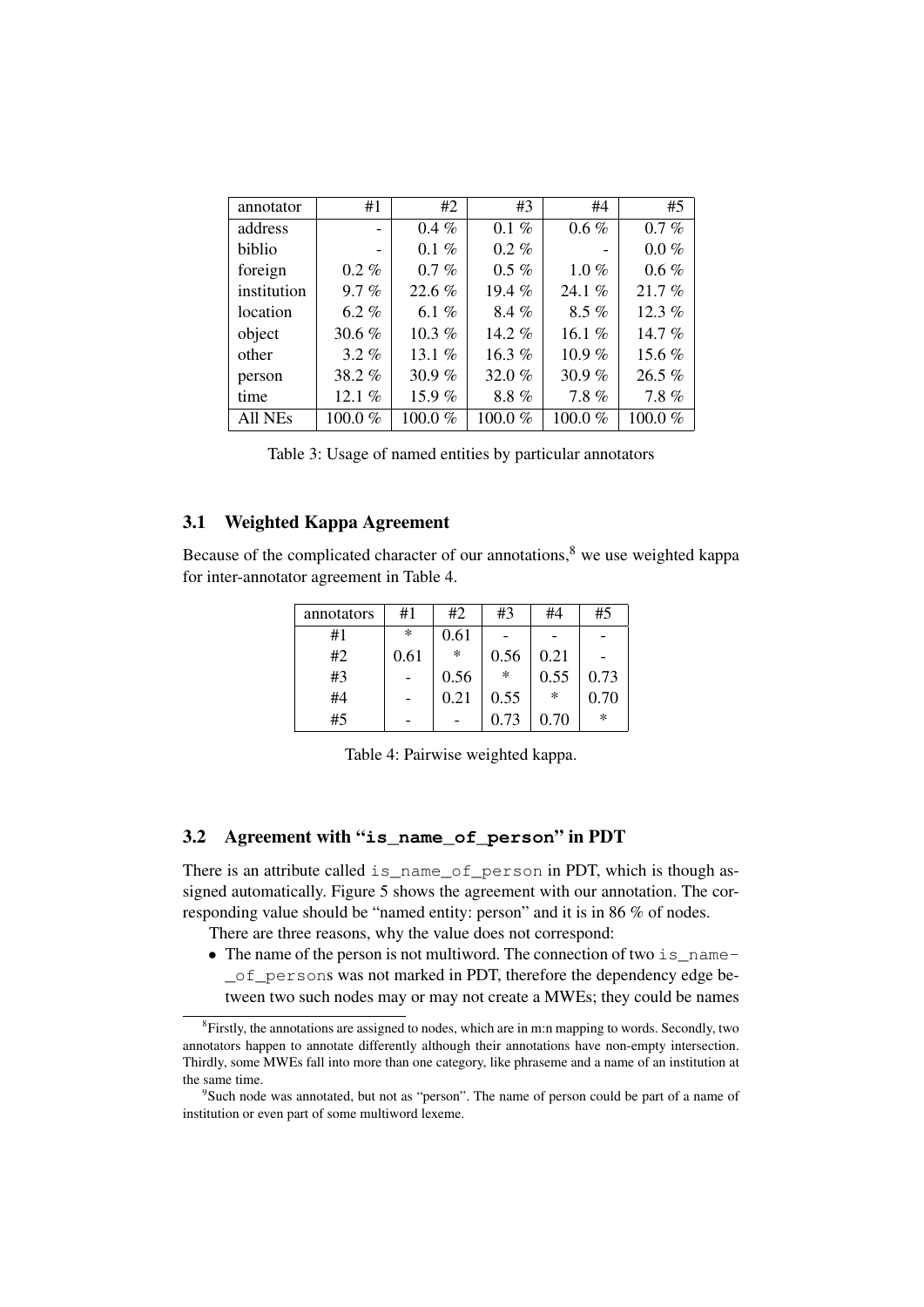| annotator   | #1      | #2       | #3         | #4        | #5        |
|-------------|---------|----------|------------|-----------|-----------|
| address     |         | $0.4\%$  | $0.1 \%$   | $0.6\%$   | $0.7 \%$  |
| biblio      | -       | $0.1\%$  | $0.2 \%$   |           | $0.0 \%$  |
| foreign     | $0.2\%$ | $0.7\%$  | $0.5\%$    | $1.0\%$   | $0.6\%$   |
| institution | $9.7\%$ | 22.6%    | 19.4 $%$   | 24.1 $%$  | 21.7%     |
| location    | 6.2%    | 6.1 $%$  | $8.4\%$    | $8.5\%$   | 12.3 $%$  |
| object      | 30.6%   | 10.3%    | 14.2 $%$   | 16.1%     | 14.7 $%$  |
| other       | $3.2\%$ | 13.1 $%$ | 16.3%      | $10.9\%$  | 15.6 %    |
| person      | 38.2%   | 30.9 $%$ | 32.0%      | 30.9%     | 26.5 %    |
| time        | 12.1%   | 15.9%    | 8.8%       | 7.8%      | 7.8%      |
| All NEs     | 100.0%  | 100.0%   | $100.0 \%$ | 100.0 $%$ | 100.0 $%$ |

<span id="page-4-0"></span>

#### 3.1 Weighted Kappa Agreement

Because of the complicated character of our annotations, $8$  we use weighted kappa for inter-annotator agreement in Table [4.](#page-4-1)

| annotators | #1   | #2     | #3     | #4   | #5     |
|------------|------|--------|--------|------|--------|
| #1         | ∗    | 0.61   |        |      |        |
| #2         | 0.61 | $\ast$ | 0.56   | 0.21 |        |
| #3         |      | 0.56   | $\ast$ | 0.55 | 0.73   |
| #4         |      | 0.21   | 0.55   | ∗    | 0.70   |
| #5         |      |        | 0.73   | 0.70 | $\ast$ |

<span id="page-4-1"></span>Table 4: Pairwise weighted kappa.

### 3.2 Agreement with "**is\_name\_of\_person**" in PDT

There is an attribute called is\_name\_of\_person in PDT, which is though assigned automatically. Figure [5](#page-5-0) shows the agreement with our annotation. The corresponding value should be "named entity: person" and it is in 86 % of nodes.

There are three reasons, why the value does not correspond:

• The name of the person is not multiword. The connection of two is \_name-\_of\_persons was not marked in PDT, therefore the dependency edge between two such nodes may or may not create a MWEs; they could be names

<sup>&</sup>lt;sup>8</sup> Firstly, the annotations are assigned to nodes, which are in m:n mapping to words. Secondly, two annotators happen to annotate differently although their annotations have non-empty intersection. Thirdly, some MWEs fall into more than one category, like phraseme and a name of an institution at the same time.

<sup>&</sup>lt;sup>9</sup>Such node was annotated, but not as "person". The name of person could be part of a name of institution or even part of some multiword lexeme.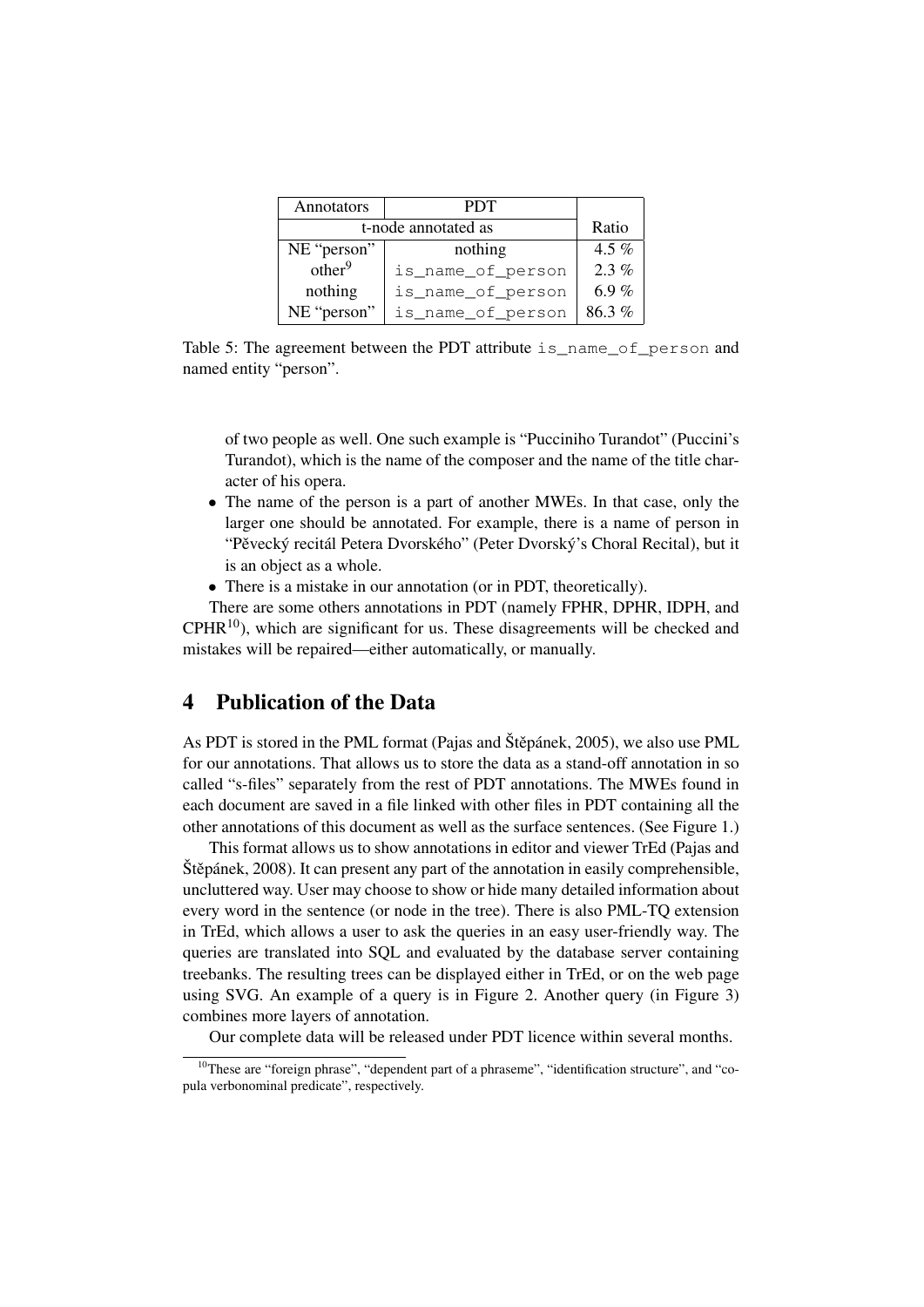| Annotators          | <b>PDT</b>        |       |
|---------------------|-------------------|-------|
| t-node annotated as |                   | Ratio |
| NE "person"         | nothing           | 4.5 % |
| other <sup>9</sup>  | is_name_of_person | 2.3%  |
| nothing             | is_name_of_person | 6.9%  |
| NE "person"         | is_name_of_person | 86.3% |

<span id="page-5-0"></span>Table 5: The agreement between the PDT attribute is\_name\_of\_person and named entity "person".

of two people as well. One such example is "Pucciniho Turandot" (Puccini's Turandot), which is the name of the composer and the name of the title character of his opera.

- The name of the person is a part of another MWEs. In that case, only the larger one should be annotated. For example, there is a name of person in "Pěvecký recitál Petera Dvorského" (Peter Dvorský's Choral Recital), but it is an object as a whole.
- There is a mistake in our annotation (or in PDT, theoretically).

There are some others annotations in PDT (namely FPHR, DPHR, IDPH, and  $CPHR<sup>10</sup>$  $CPHR<sup>10</sup>$  $CPHR<sup>10</sup>$ ), which are significant for us. These disagreements will be checked and mistakes will be repaired—either automatically, or manually.

# <span id="page-5-1"></span>4 Publication of the Data

As PDT is stored in the PML format (Pajas and Štěpánek, [2005\)](#page-8-5), we also use PML for our annotations. That allows us to store the data as a stand-off annotation in so called "s-files" separately from the rest of PDT annotations. The MWEs found in each document are saved in a file linked with other files in PDT containing all the other annotations of this document as well as the surface sentences. (See Figure [1.](#page-6-0))

This format allows us to show annotations in editor and viewer TrEd [\(Pajas and](#page-8-6) Štěpánek, [2008\)](#page-8-6). It can present any part of the annotation in easily comprehensible, uncluttered way. User may choose to show or hide many detailed information about every word in the sentence (or node in the tree). There is also PML-TQ extension in TrEd, which allows a user to ask the queries in an easy user-friendly way. The queries are translated into SQL and evaluated by the database server containing treebanks. The resulting trees can be displayed either in TrEd, or on the web page using SVG. An example of a query is in Figure [2.](#page-6-1) Another query (in Figure [3\)](#page-6-2) combines more layers of annotation.

Our complete data will be released under PDT licence within several months.

<sup>&</sup>lt;sup>10</sup>These are "foreign phrase", "dependent part of a phraseme", "identification structure", and "copula verbonominal predicate", respectively.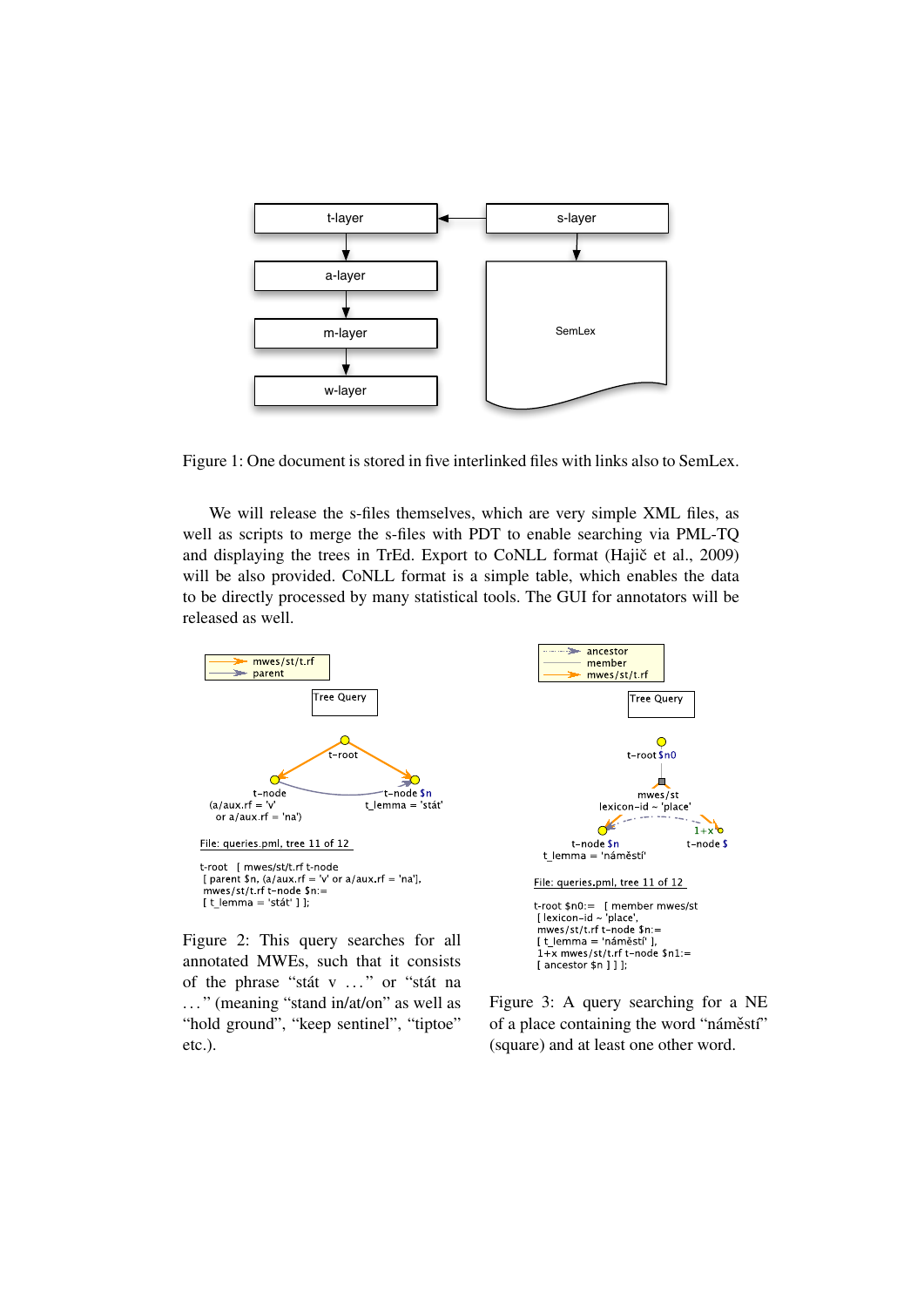

<span id="page-6-0"></span>Figure 1: One document is stored in five interlinked files with links also to SemLex.

We will release the s-files themselves, which are very simple XML files, as well as scripts to merge the s-files with PDT to enable searching via PML-TQ and displaying the trees in TrEd. Export to CoNLL format (Hajič et al., [2009\)](#page-7-4) will be also provided. CoNLL format is a simple table, which enables the data to be directly processed by many statistical tools. The GUI for annotators will be released as well.



<span id="page-6-1"></span>annotated MWEs, such that it consists of the phrase "stát v . . . " or "stát na ..." (meaning "stand in/at/on" as well as "hold ground", "keep sentinel", "tiptoe" etc.).

Figure 3: A query searching for a NE of a place containing the word "náměstí" (square) and at least one other word.

<span id="page-6-2"></span>[ancestor \$n ] ] ];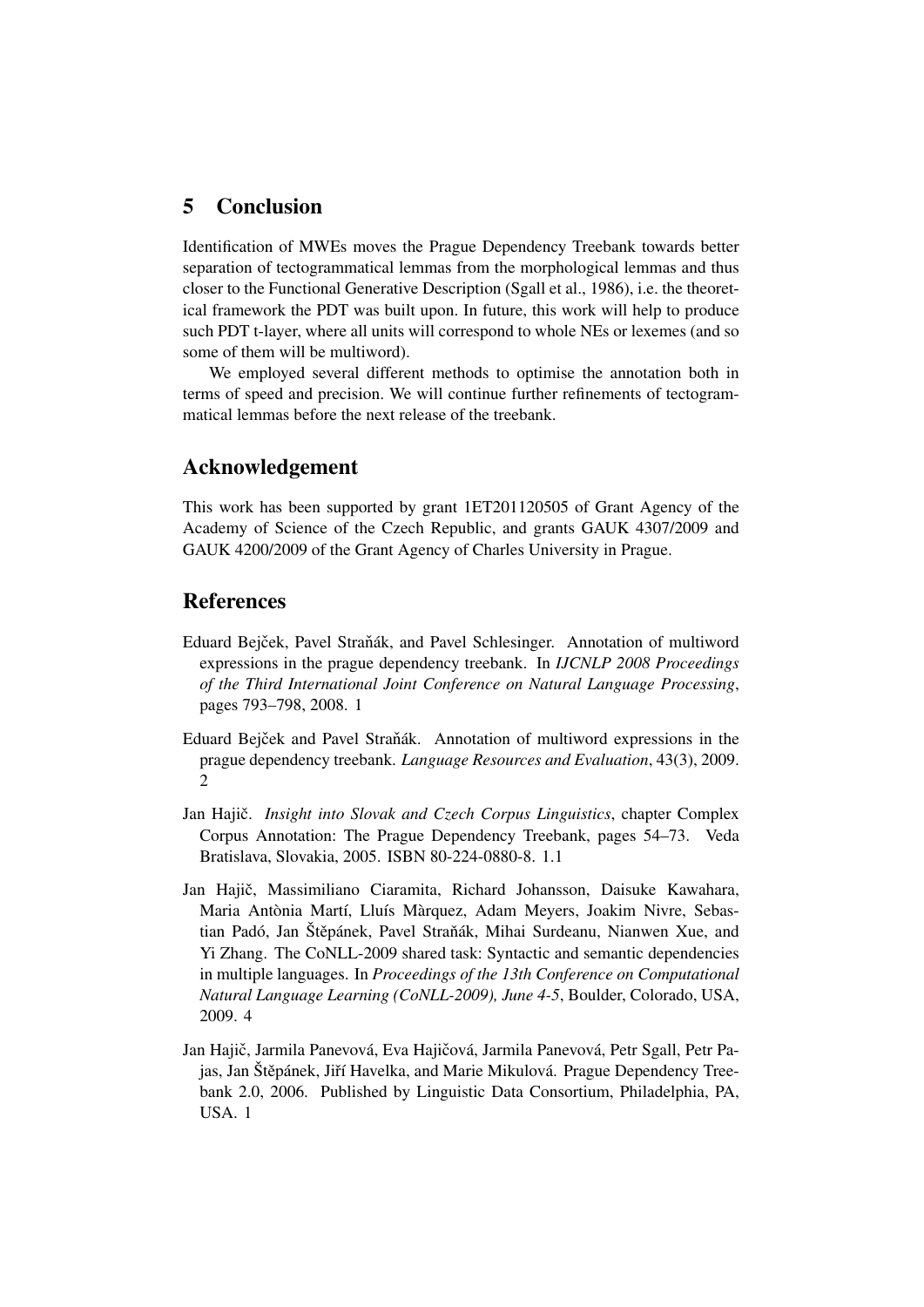# <span id="page-7-5"></span>5 Conclusion

Identification of MWEs moves the Prague Dependency Treebank towards better separation of tectogrammatical lemmas from the morphological lemmas and thus closer to the Functional Generative Description [\(Sgall et al.,](#page-8-7) [1986\)](#page-8-7), i.e. the theoretical framework the PDT was built upon. In future, this work will help to produce such PDT t-layer, where all units will correspond to whole NEs or lexemes (and so some of them will be multiword).

We employed several different methods to optimise the annotation both in terms of speed and precision. We will continue further refinements of tectogrammatical lemmas before the next release of the treebank.

# Acknowledgement

This work has been supported by grant 1ET201120505 of Grant Agency of the Academy of Science of the Czech Republic, and grants GAUK 4307/2009 and GAUK 4200/2009 of the Grant Agency of Charles University in Prague.

## References

- <span id="page-7-0"></span>Eduard Bejček, Pavel Straňák, and Pavel Schlesinger. Annotation of multiword expressions in the prague dependency treebank. In *IJCNLP 2008 Proceedings of the Third International Joint Conference on Natural Language Processing*, pages 793–798, 2008. [1](#page-0-1)
- <span id="page-7-3"></span>Eduard Bejček and Pavel Straňák. Annotation of multiword expressions in the prague dependency treebank. *Language Resources and Evaluation*, 43(3), 2009. [2](#page-1-1)
- <span id="page-7-2"></span>Jan Hajič. *Insight into Slovak and Czech Corpus Linguistics*, chapter Complex Corpus Annotation: The Prague Dependency Treebank, pages 54–73. Veda Bratislava, Slovakia, 2005. ISBN 80-224-0880-8. [1.1](#page-1-0)
- <span id="page-7-4"></span>Jan Hajič, Massimiliano Ciaramita, Richard Johansson, Daisuke Kawahara, Maria Antònia Martí, Lluís Màrquez, Adam Meyers, Joakim Nivre, Sebastian Padó, Jan Štěpánek, Pavel Straňák, Mihai Surdeanu, Nianwen Xue, and Yi Zhang. The CoNLL-2009 shared task: Syntactic and semantic dependencies in multiple languages. In *Proceedings of the 13th Conference on Computational Natural Language Learning (CoNLL-2009), June 4-5*, Boulder, Colorado, USA, 2009. [4](#page-6-0)
- <span id="page-7-1"></span>Jan Hajič, Jarmila Panevová, Eva Hajičová, Jarmila Panevová, Petr Sgall, Petr Pajas, Jan Štěpánek, Jiří Havelka, and Marie Mikulová. Prague Dependency Treebank 2.0, 2006. Published by Linguistic Data Consortium, Philadelphia, PA, USA. [1](#page-0-1)